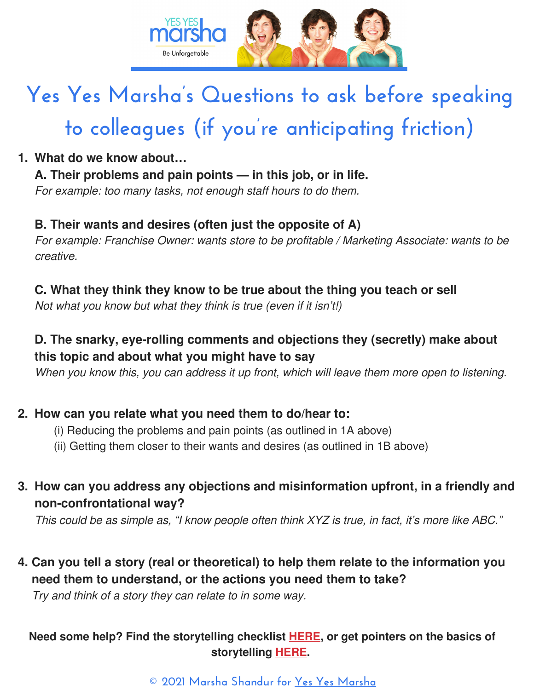

# **Yes Yes Marsha's Questions to ask before speaking to colleagues (if you're anticipating friction)**

#### **What do we know about… 1.**

## **A. Their problems and pain points — in this job, or in life.**

For example: too many tasks, not enough staff hours to do them.

#### **B. Their wants and desires (often just the opposite of A)**

For example: Franchise Owner: wants store to be profitable / Marketing Associate: wants to be creative.

#### **C. What they think they know to be true about the thing you teach or sell**

Not what you know but what they think is true (even if it isn't!)

## **D. The snarky, eye-rolling comments and objections they (secretly) make about this topic and about what you might have to say**

When you know this, you can address it up front, which will leave them more open to listening.

#### **How can you relate what you need them to do/hear to: 2.**

- (i) Reducing the problems and pain points (as outlined in 1A above)
- (ii) Getting them closer to their wants and desires (as outlined in 1B above)

## **How can you address any objections and misinformation upfront, in a friendly and 3. non-confrontational way?**

This could be as simple as, "I know people often think XYZ is true, in fact, it's more like ABC."

# **Can you tell a story (real or theoretical) to help them relate to the information you 4. need them to understand, or the actions you need them to take?**

Try and think of a story they can relate to in some way.

#### **Need some help? Find the storytelling checklist [HERE,](https://www.yesyesmarsha.com/wp-content/uploads/2020/10/Yes-Yes-Marsha%E2%80%99s-Captivating-Story-Checklist-YesYesMarsha-dot-com-DIGITAL.pdf) or get pointers on the basics of storytelling [HERE](https://www.yesyesmarsha.com/storytips).**

#### **© 2021 Marsha Shandur for Yes Yes [Marsha](http://yesyesmarsha.com/)**